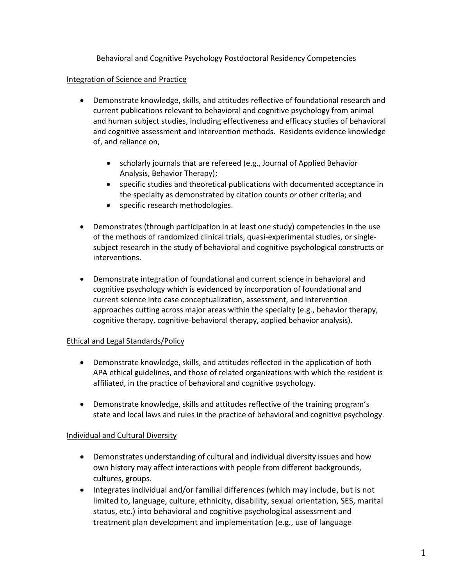Behavioral and Cognitive Psychology Postdoctoral Residency Competencies

## Integration of Science and Practice

- Demonstrate knowledge, skills, and attitudes reflective of foundational research and current publications relevant to behavioral and cognitive psychology from animal and human subject studies, including effectiveness and efficacy studies of behavioral and cognitive assessment and intervention methods. Residents evidence knowledge of, and reliance on,
	- scholarly journals that are refereed (e.g., Journal of Applied Behavior Analysis, Behavior Therapy);
	- specific studies and theoretical publications with documented acceptance in the specialty as demonstrated by citation counts or other criteria; and
	- specific research methodologies.
- Demonstrates (through participation in at least one study) competencies in the use of the methods of randomized clinical trials, quasi-experimental studies, or singlesubject research in the study of behavioral and cognitive psychological constructs or interventions.
- Demonstrate integration of foundational and current science in behavioral and cognitive psychology which is evidenced by incorporation of foundational and current science into case conceptualization, assessment, and intervention approaches cutting across major areas within the specialty (e.g., behavior therapy, cognitive therapy, cognitive-behavioral therapy, applied behavior analysis).

# Ethical and Legal Standards/Policy

- Demonstrate knowledge, skills, and attitudes reflected in the application of both APA ethical guidelines, and those of related organizations with which the resident is affiliated, in the practice of behavioral and cognitive psychology.
- Demonstrate knowledge, skills and attitudes reflective of the training program's state and local laws and rules in the practice of behavioral and cognitive psychology.

# Individual and Cultural Diversity

- Demonstrates understanding of cultural and individual diversity issues and how own history may affect interactions with people from different backgrounds, cultures, groups.
- Integrates individual and/or familial differences (which may include, but is not limited to, language, culture, ethnicity, disability, sexual orientation, SES, marital status, etc.) into behavioral and cognitive psychological assessment and treatment plan development and implementation (e.g., use of language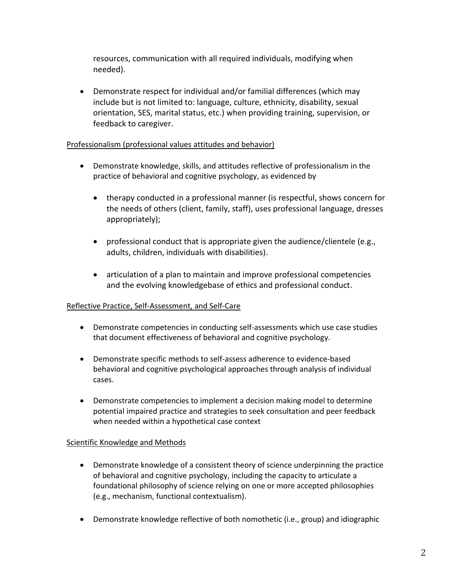resources, communication with all required individuals, modifying when needed).

 Demonstrate respect for individual and/or familial differences (which may include but is not limited to: language, culture, ethnicity, disability, sexual orientation, SES, marital status, etc.) when providing training, supervision, or feedback to caregiver.

## Professionalism (professional values attitudes and behavior)

- Demonstrate knowledge, skills, and attitudes reflective of professionalism in the practice of behavioral and cognitive psychology, as evidenced by
	- therapy conducted in a professional manner (is respectful, shows concern for the needs of others (client, family, staff), uses professional language, dresses appropriately);
	- professional conduct that is appropriate given the audience/clientele (e.g., adults, children, individuals with disabilities).
	- articulation of a plan to maintain and improve professional competencies and the evolving knowledgebase of ethics and professional conduct.

### Reflective Practice, Self-Assessment, and Self-Care

- Demonstrate competencies in conducting self-assessments which use case studies that document effectiveness of behavioral and cognitive psychology.
- Demonstrate specific methods to self-assess adherence to evidence-based behavioral and cognitive psychological approaches through analysis of individual cases.
- Demonstrate competencies to implement a decision making model to determine potential impaired practice and strategies to seek consultation and peer feedback when needed within a hypothetical case context

### Scientific Knowledge and Methods

- Demonstrate knowledge of a consistent theory of science underpinning the practice of behavioral and cognitive psychology, including the capacity to articulate a foundational philosophy of science relying on one or more accepted philosophies (e.g., mechanism, functional contextualism).
- Demonstrate knowledge reflective of both nomothetic (i.e., group) and idiographic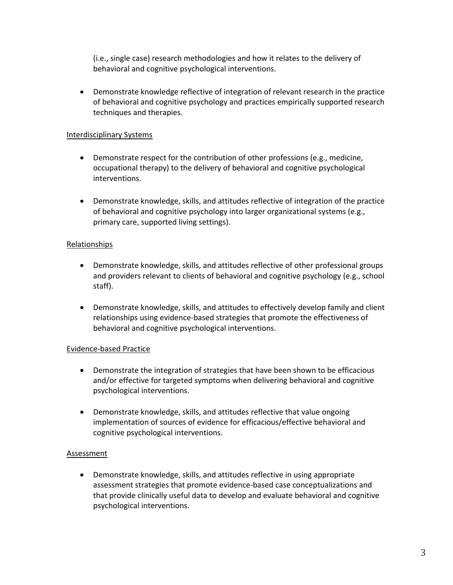(i.e., single case) research methodologies and how it relates to the delivery of behavioral and cognitive psychological interventions.

 Demonstrate knowledge reflective of integration of relevant research in the practice of behavioral and cognitive psychology and practices empirically supported research techniques and therapies.

## Interdisciplinary Systems

- Demonstrate respect for the contribution of other professions (e.g., medicine, occupational therapy) to the delivery of behavioral and cognitive psychological interventions.
- Demonstrate knowledge, skills, and attitudes reflective of integration of the practice of behavioral and cognitive psychology into larger organizational systems (e.g., primary care, supported living settings).

### Relationships

- Demonstrate knowledge, skills, and attitudes reflective of other professional groups and providers relevant to clients of behavioral and cognitive psychology (e.g., school staff).
- Demonstrate knowledge, skills, and attitudes to effectively develop family and client relationships using evidence-based strategies that promote the effectiveness of behavioral and cognitive psychological interventions.

### Evidence-based Practice

- Demonstrate the integration of strategies that have been shown to be efficacious and/or effective for targeted symptoms when delivering behavioral and cognitive psychological interventions.
- Demonstrate knowledge, skills, and attitudes reflective that value ongoing implementation of sources of evidence for efficacious/effective behavioral and cognitive psychological interventions.

### Assessment

 Demonstrate knowledge, skills, and attitudes reflective in using appropriate assessment strategies that promote evidence-based case conceptualizations and that provide clinically useful data to develop and evaluate behavioral and cognitive psychological interventions.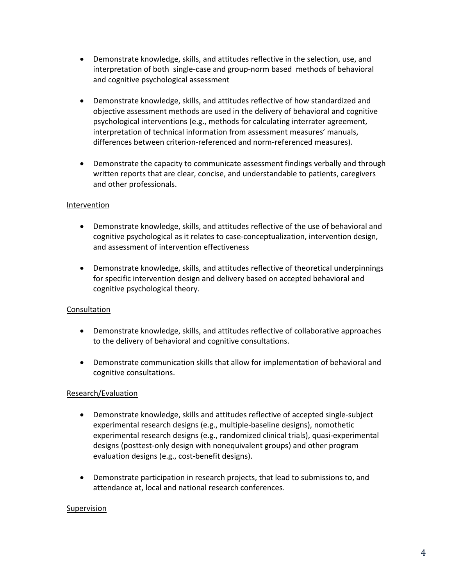- Demonstrate knowledge, skills, and attitudes reflective in the selection, use, and interpretation of both single-case and group-norm based methods of behavioral and cognitive psychological assessment
- Demonstrate knowledge, skills, and attitudes reflective of how standardized and objective assessment methods are used in the delivery of behavioral and cognitive psychological interventions (e.g., methods for calculating interrater agreement, interpretation of technical information from assessment measures' manuals, differences between criterion-referenced and norm-referenced measures).
- Demonstrate the capacity to communicate assessment findings verbally and through written reports that are clear, concise, and understandable to patients, caregivers and other professionals.

# Intervention

- Demonstrate knowledge, skills, and attitudes reflective of the use of behavioral and cognitive psychological as it relates to case-conceptualization, intervention design, and assessment of intervention effectiveness
- Demonstrate knowledge, skills, and attitudes reflective of theoretical underpinnings for specific intervention design and delivery based on accepted behavioral and cognitive psychological theory.

### Consultation

- Demonstrate knowledge, skills, and attitudes reflective of collaborative approaches to the delivery of behavioral and cognitive consultations.
- Demonstrate communication skills that allow for implementation of behavioral and cognitive consultations.

### Research/Evaluation

- Demonstrate knowledge, skills and attitudes reflective of accepted single-subject experimental research designs (e.g., multiple-baseline designs), nomothetic experimental research designs (e.g., randomized clinical trials), quasi-experimental designs (posttest-only design with nonequivalent groups) and other program evaluation designs (e.g., cost-benefit designs).
- Demonstrate participation in research projects, that lead to submissions to, and attendance at, local and national research conferences.

### Supervision